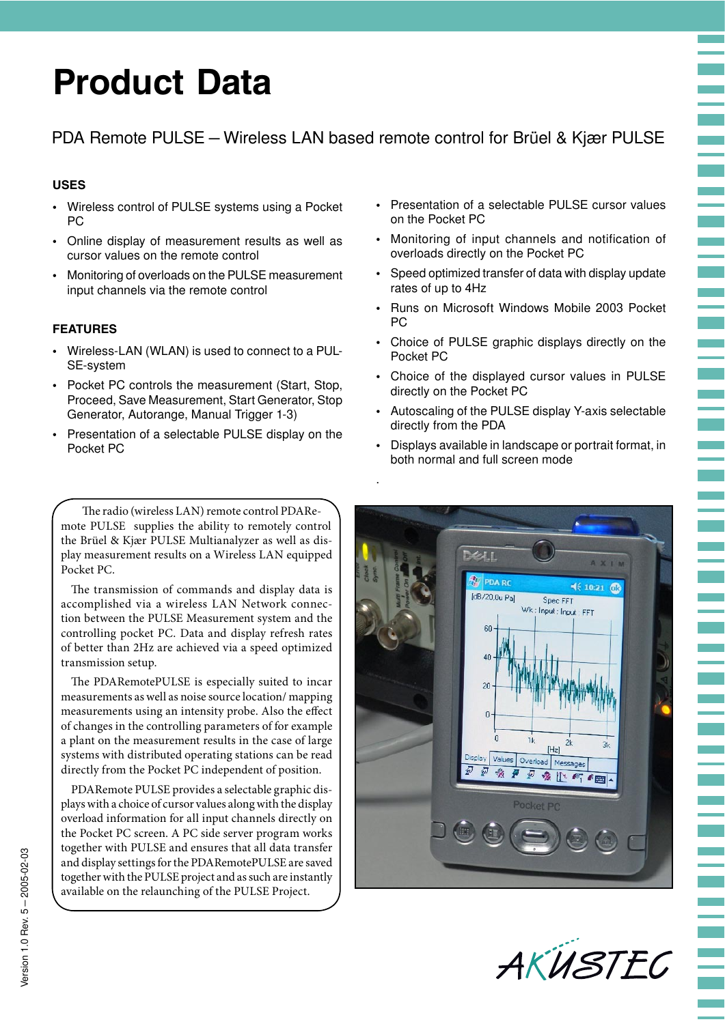# **Product Data**

## PDA Remote PULSE – Wireless LAN based remote control for Brüel & Kjær PULSE

.

## **USES**

- Wireless control of PULSE systems using a Pocket PC
- Online display of measurement results as well as cursor values on the remote control
- Monitoring of overloads on the PULSE measurement input channels via the remote control

## **FEATURES**

- Wireless-LAN (WLAN) is used to connect to a PUL-SE-system
- Pocket PC controls the measurement (Start, Stop, Proceed, Save Measurement, Start Generator, Stop Generator, Autorange, Manual Trigger 1-3)
- Presentation of a selectable PULSE display on the Pocket PC

The radio (wireless LAN) remote control PDARemote PULSE supplies the ability to remotely control the Brüel & Kjær PULSE Multianalyzer as well as display measurement results on a Wireless LAN equipped Pocket PC.

The transmission of commands and display data is accomplished via a wireless LAN Network connection between the PULSE Measurement system and the controlling pocket PC. Data and display refresh rates of better than 2Hz are achieved via a speed optimized transmission setup.

The PDARemotePULSE is especially suited to incar measurements as well as noise source location/ mapping measurements using an intensity probe. Also the effect of changes in the controlling parameters of for example a plant on the measurement results in the case of large systems with distributed operating stations can be read directly from the Pocket PC independent of position.

PDARemote PULSE provides a selectable graphic displays with a choice of cursor values along with the display overload information for all input channels directly on the Pocket PC screen. A PC side server program works together with PULSE and ensures that all data transfer and display settings for the PDARemotePULSE are saved together with the PULSE project and as such are instantly available on the relaunching of the PULSE Project.

• Presentation of a selectable PULSE cursor values on the Pocket PC

- Monitoring of input channels and notification of overloads directly on the Pocket PC
- Speed optimized transfer of data with display update rates of up to 4Hz
- Runs on Microsoft Windows Mobile 2003 Pocket PC
- Choice of PULSE graphic displays directly on the Pocket PC
- Choice of the displayed cursor values in PULSE directly on the Pocket PC
- Autoscaling of the PULSE display Y-axis selectable directly from the PDA
- Displays available in landscape or portrait format, in both normal and full screen mode



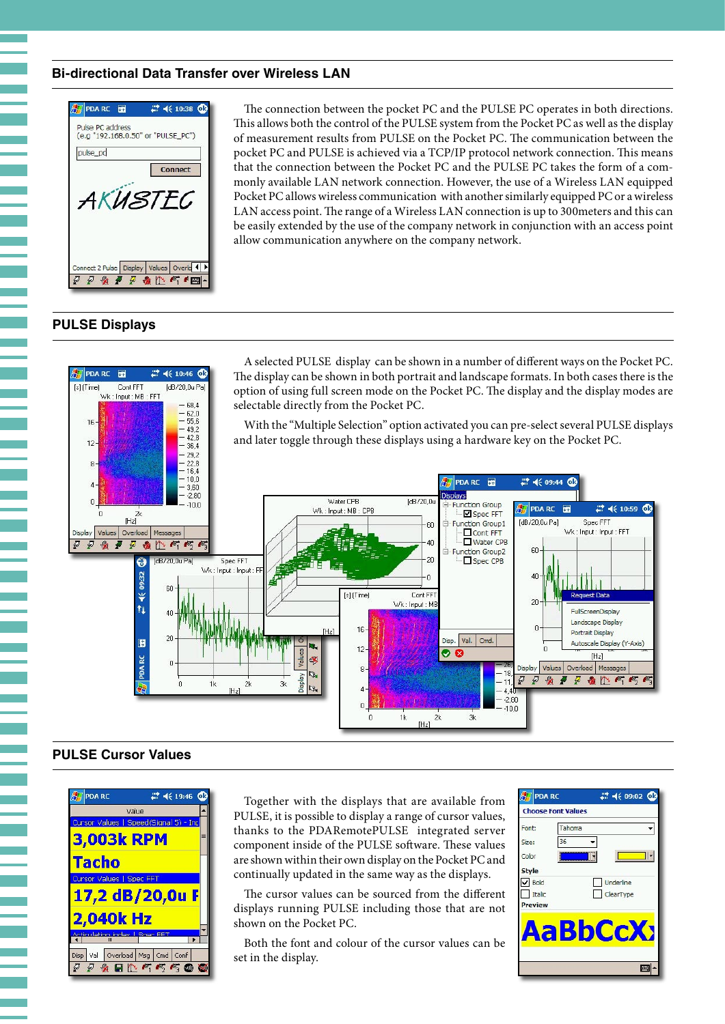## **Bi-directional Data Transfer over Wireless LAN**



The connection between the pocket PC and the PULSE PC operates in both directions. This allows both the control of the PULSE system from the Pocket PC as well as the display of measurement results from PULSE on the Pocket PC. The communication between the pocket PC and PULSE is achieved via a TCP/IP protocol network connection. This means that the connection between the Pocket PC and the PULSE PC takes the form of a commonly available LAN network connection. However, the use of a Wireless LAN equipped Pocket PC allows wireless communication with another similarly equipped PC or a wireless LAN access point. The range of a Wireless LAN connection is up to 300meters and this can be easily extended by the use of the company network in conjunction with an access point allow communication anywhere on the company network.

#### **PULSE Displays**



### **PULSE Cursor Values**



Together with the displays that are available from PULSE, it is possible to display a range of cursor values, thanks to the PDARemotePULSE integrated server component inside of the PULSE software. These values are shown within their own display on the Pocket PC and continually updated in the same way as the displays.

The cursor values can be sourced from the different displays running PULSE including those that are not shown on the Pocket PC.

Both the font and colour of the cursor values can be set in the display.

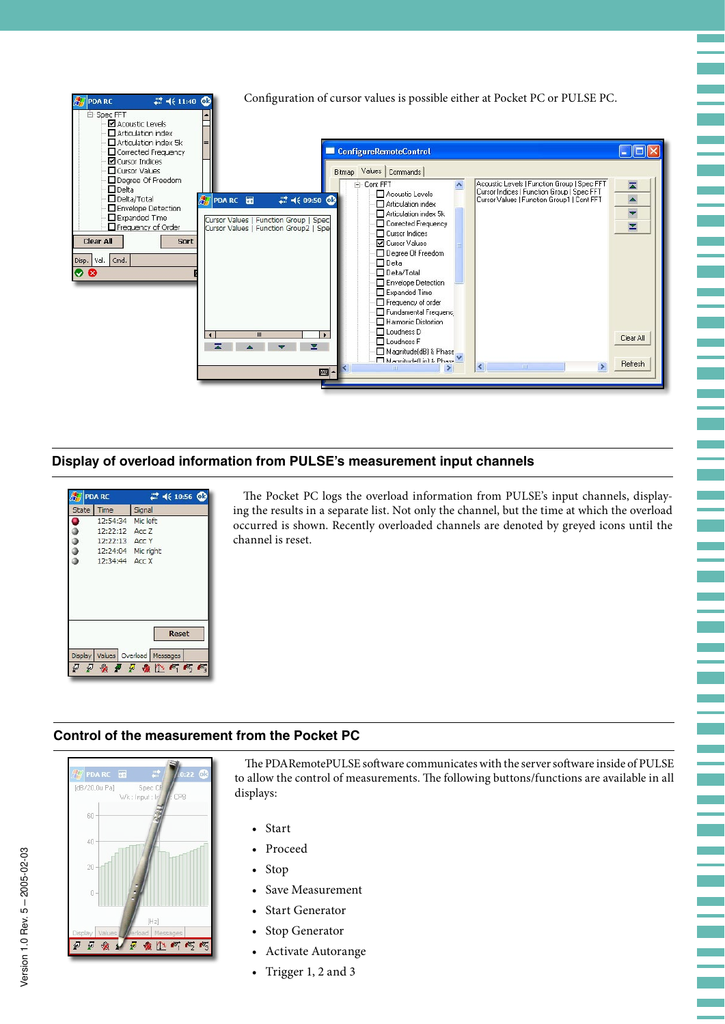

## **Display of overload information from PULSE's measurement input channels**



The Pocket PC logs the overload information from PULSE's input channels, displaying the results in a separate list. Not only the channel, but the time at which the overload occurred is shown. Recently overloaded channels are denoted by greyed icons until the channel is reset.

e.

er<br>G

e.

Ξ

e<br>Ver 

## **Control of the measurement from the Pocket PC**



The PDARemotePULSE software communicates with the server software inside of PULSE to allow the control of measurements. The following buttons/functions are available in all displays:

- Start
- Proceed
- Stop
- Save Measurement
- Start Generator
- Stop Generator
- Activate Autorange
- Trigger 1, 2 and 3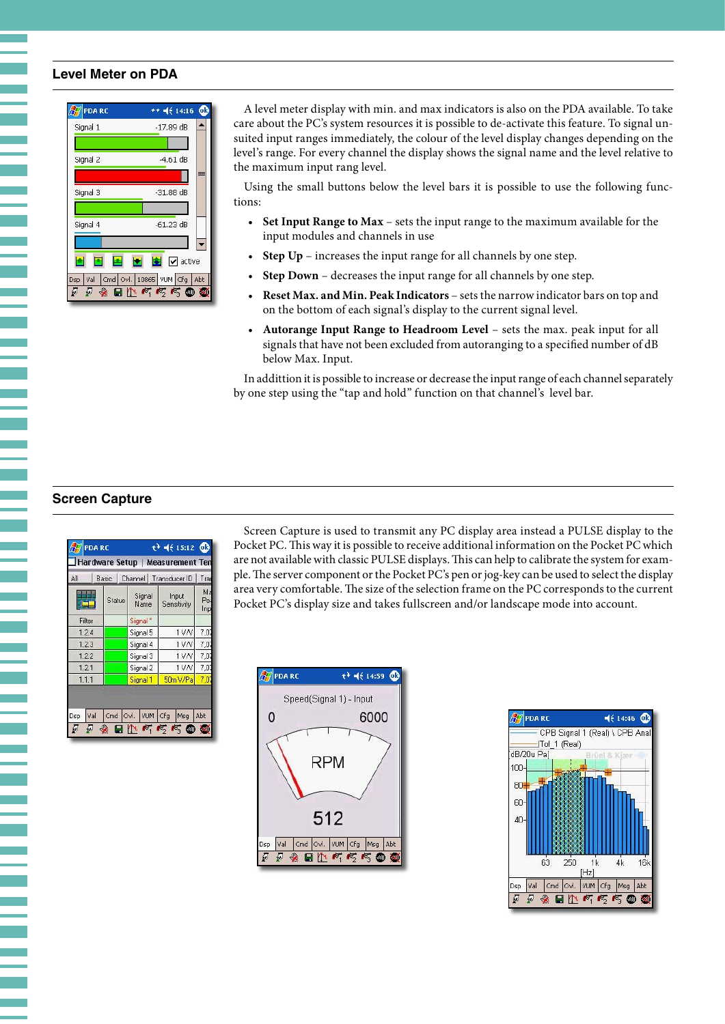## **Level Meter on PDA**

Ŧ

| <b>PDA RC</b>              | $***$ $4:14:16$ $@$                  |
|----------------------------|--------------------------------------|
| Signal 1                   | $-17.89$ dB                          |
|                            |                                      |
| Signal 2                   | $-4.61$ dB                           |
|                            |                                      |
| Signal 3                   | $-31.88$ dB                          |
|                            |                                      |
| Signal 4                   | $-61.23$ dB                          |
|                            |                                      |
|                            | $\bullet$ $\bullet$ active           |
| <b>Dsp</b><br>Val          | Cmd   Ovl.   10865   VUM   Cfg   Abt |
| $\mathcal{L}_{\mathbf{G}}$ | $H^n \sim \sim \sim 0$<br><b>MAD</b> |

A level meter display with min. and max indicators is also on the PDA available. To take care about the PC's system resources it is possible to de-activate this feature. To signal unsuited input ranges immediately, the colour of the level display changes depending on the level's range. For every channel the display shows the signal name and the level relative to the maximum input rang level.

Using the small buttons below the level bars it is possible to use the following functions:

- **Set Input Range to Max** sets the input range to the maximum available for the input modules and channels in use
- **Step Up** increases the input range for all channels by one step.
- **Step Down** decreases the input range for all channels by one step.
- **Reset Max. and Min. Peak Indicators** sets the narrow indicator bars on top and on the bottom of each signal's display to the current signal level.
- **Autorange Input Range to Headroom Level** sets the max. peak input for all signals that have not been excluded from autoranging to a specified number of dB below Max. Input.

In addittion it is possible to increase or decrease the input range of each channel separately by one step using the "tap and hold" function on that channel's level bar.

#### **Screen Capture**

| Basic<br>Status | Signal<br>Name      | Hardware Setup   Measurement Ten<br>Channel   Transducer ID<br>Input<br>Sensitivity | Tran<br>Ma<br>Pea |
|-----------------|---------------------|-------------------------------------------------------------------------------------|-------------------|
|                 |                     |                                                                                     |                   |
|                 |                     |                                                                                     |                   |
|                 |                     |                                                                                     | Inp               |
|                 | Signal <sup>*</sup> |                                                                                     |                   |
|                 | Signal 5            | 1VN                                                                                 | 7,07              |
|                 | Signal 4            | 1VN                                                                                 | 7,0               |
|                 | Signal 3            | 1 V N                                                                               | 7,0               |
|                 | Signal 2            | 1VM                                                                                 | 7,07              |
|                 | Signal 1            | 50m V/Pa                                                                            | 7,0               |
|                 | VUM <sup>1</sup>    | Msg                                                                                 | Abt               |
|                 |                     | Cmd Ovl.                                                                            | Cfg               |

Screen Capture is used to transmit any PC display area instead a PULSE display to the Pocket PC. This way it is possible to receive additional information on the Pocket PC which are not available with classic PULSE displays. This can help to calibrate the system for example. The server component or the Pocket PC's pen or jog-key can be used to select the display area very comfortable. The size of the selection frame on the PC corresponds to the current Pocket PC's display size and takes fullscreen and/or landscape mode into account.



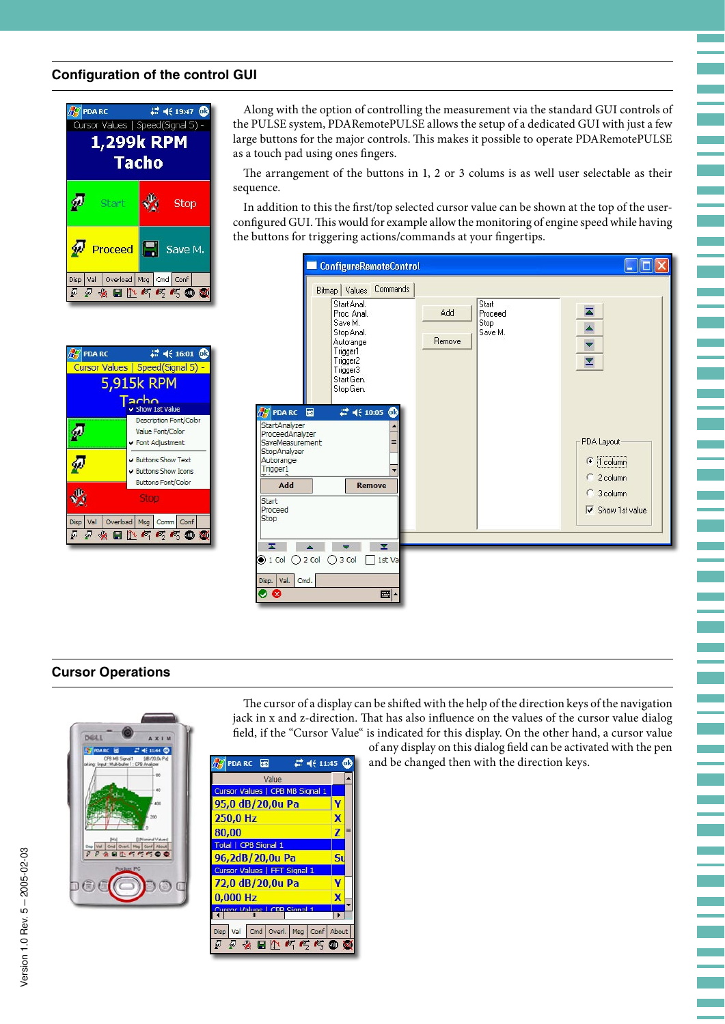## **Configuration of the control GUI**



| <b>PDA RC</b> | $22 + 16:01$ $@3$                                                                                                                                                                                                                                                                                                                                                                                                                                                                                                                                                                                                            |  |  |  |
|---------------|------------------------------------------------------------------------------------------------------------------------------------------------------------------------------------------------------------------------------------------------------------------------------------------------------------------------------------------------------------------------------------------------------------------------------------------------------------------------------------------------------------------------------------------------------------------------------------------------------------------------------|--|--|--|
|               | Cursor Values   Speed(Signal 5) -                                                                                                                                                                                                                                                                                                                                                                                                                                                                                                                                                                                            |  |  |  |
| 5,915k RPM    |                                                                                                                                                                                                                                                                                                                                                                                                                                                                                                                                                                                                                              |  |  |  |
|               | acho<br>Show 1st Value                                                                                                                                                                                                                                                                                                                                                                                                                                                                                                                                                                                                       |  |  |  |
|               | Description Font/Color<br>Value Font/Color<br>✔ Font Adjustment                                                                                                                                                                                                                                                                                                                                                                                                                                                                                                                                                              |  |  |  |
|               | Buttons Show Text<br>✔ Buttons Show Icons<br><b>Buttons Font/Color</b>                                                                                                                                                                                                                                                                                                                                                                                                                                                                                                                                                       |  |  |  |
|               | Stop                                                                                                                                                                                                                                                                                                                                                                                                                                                                                                                                                                                                                         |  |  |  |
| Disp          | Val   Overload   Msg   Comm   Conf<br>$\color{red} \bullet \;\; \blacksquare \;\; \blacksquare \;\; \blacksquare \;\; \blacksquare \;\; \blacksquare \;\; \blacksquare \;\; \blacksquare \;\; \blacksquare \;\; \blacksquare \;\; \blacksquare \;\; \blacksquare \;\; \blacksquare \;\; \blacksquare \;\; \blacksquare \;\; \blacksquare \;\; \blacksquare \;\; \blacksquare \;\; \blacksquare \;\; \blacksquare \;\; \blacksquare \;\; \blacksquare \;\; \blacksquare \;\; \blacksquare \;\; \blacksquare \;\; \blacksquare \;\; \blacksquare \;\; \blacksquare \;\; \blacksquare \;\; \blacksquare \;\; \blacksquare \;\;$ |  |  |  |

Along with the option of controlling the measurement via the standard GUI controls of the PULSE system, PDARemotePULSE allows the setup of a dedicated GUI with just a few large buttons for the major controls. This makes it possible to operate PDARemotePULSE as a touch pad using ones fingers.

The arrangement of the buttons in 1, 2 or 3 colums is as well user selectable as their sequence.

In addition to this the first/top selected cursor value can be shown at the top of the userconfigured GUI. This would for example allow the monitoring of engine speed while having the buttons for triggering actions/commands at your fingertips.



## **Cursor Operations**



| $\mathbb{Z}$ = 4 $\in$ 11:45 $\textcircled{3}$<br>$\sqrt{2}$ PDA RC $\Box$ |                         |
|----------------------------------------------------------------------------|-------------------------|
| Value                                                                      |                         |
| Cursor Values   CPB MB Signal 1                                            |                         |
| 95,0 dB/20,0u Pa                                                           |                         |
| 250,0 Hz                                                                   | X                       |
| 80,00                                                                      | $\overline{\mathbf{z}}$ |
| Total   CPB Signal 1                                                       |                         |
| 96,2dB/20,0u Pa                                                            | S <sub>l</sub>          |
| <b>Cursor Values   FFT Signal 1</b>                                        |                         |
| 72.0 dB/20.0u Pa                                                           | v                       |
| $0,000$ Hz                                                                 | $\overline{\mathbf{x}}$ |
| Cureor Valuee LCDR Signal 1<br>Ш                                           |                         |
| Cmd Overl. Msg Conf About<br>Disp Val                                      |                         |
|                                                                            |                         |
| 224日15550                                                                  |                         |

jack in x and z-direction. That has also influence on the values of the cursor value dialog field, if the "Cursor Value" is indicated for this display. On the other hand, a cursor value of any display on this dialog field can be activated with the pen

The cursor of a display can be shifted with the help of the direction keys of the navigation

and be changed then with the direction keys.